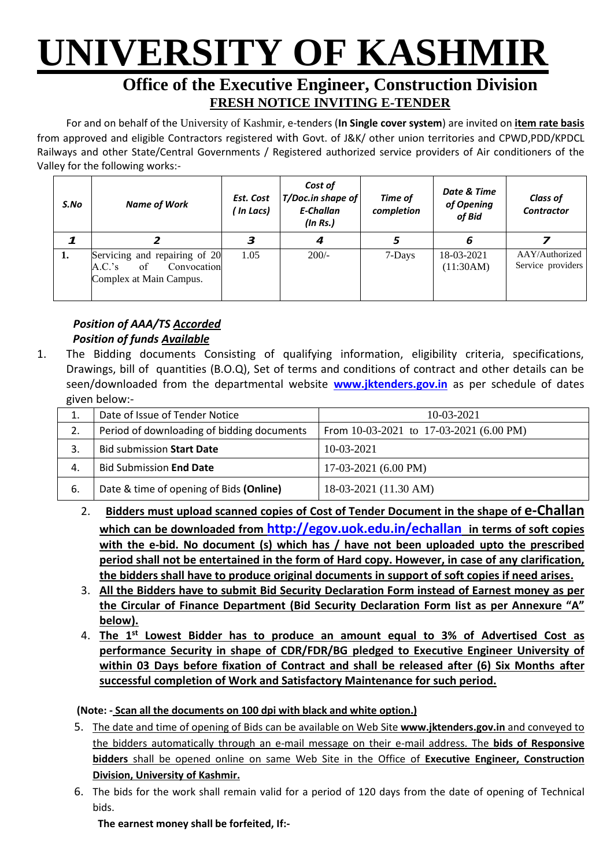# **UNIVERSITY OF KASHMIR**

## **Office of the Executive Engineer, Construction Division FRESH NOTICE INVITING E-TENDER**

For and on behalf of the University of Kashmir, e-tenders (**In Single cover system**) are invited on **item rate basis** from approved and eligible Contractors registered with Govt. of J&K/ other union territories and CPWD,PDD/KPDCL Railways and other State/Central Governments / Registered authorized service providers of Air conditioners of the Valley for the following works:-

| S.No | <b>Name of Work</b>                                                                     | Est. Cost<br>( In Lacs) | Cost of<br>T/Doc.in shape of<br>E-Challan<br>(ln Rs.) | Time of<br>completion | Date & Time<br>of Opening<br>of Bid | <b>Class of</b><br><b>Contractor</b> |
|------|-----------------------------------------------------------------------------------------|-------------------------|-------------------------------------------------------|-----------------------|-------------------------------------|--------------------------------------|
|      |                                                                                         |                         | 4                                                     |                       | 6                                   |                                      |
| ı.   | Servicing and repairing of 20<br>of<br>Convocation<br>A.C.'s<br>Complex at Main Campus. | 1.05                    | $200/-$                                               | 7-Days                | 18-03-2021<br>(11:30AM)             | AAY/Authorized<br>Service providers  |

### *Position of AAA/TS Accorded Position of funds Available*

1. The Bidding documents Consisting of qualifying information, eligibility criteria, specifications, Drawings, bill of quantities (B.O.Q), Set of terms and conditions of contract and other details can be seen/downloaded from the departmental website **[www.jktenders.gov.in](http://www.pmgsytendersjk.gov.in/)** as per schedule of dates given below:-

| ⊥.  | Date of Issue of Tender Notice             | 10-03-2021                                  |
|-----|--------------------------------------------|---------------------------------------------|
| 2.  | Period of downloading of bidding documents | From $10-03-2021$ to $17-03-2021$ (6.00 PM) |
|     | <b>Bid submission Start Date</b>           | $10-03-2021$                                |
| 4.  | <b>Bid Submission End Date</b>             | 17-03-2021 (6.00 PM)                        |
| -6. | Date & time of opening of Bids (Online)    | 18-03-2021 (11.30 AM)                       |

- 2. **Bidders must upload scanned copies of Cost of Tender Document in the shape of e-Challan which can be downloaded from <http://egov.uok.edu.in/echallan> in terms of soft copies with the e-bid. No document (s) which has / have not been uploaded upto the prescribed period shall not be entertained in the form of Hard copy. However, in case of any clarification, the bidders shall have to produce original documents in support of soft copies if need arises.**
- 3. **All the Bidders have to submit Bid Security Declaration Form instead of Earnest money as per the Circular of Finance Department (Bid Security Declaration Form Iist as per Annexure "A" below).**
- 4. **The 1st Lowest Bidder has to produce an amount equal to 3% of Advertised Cost as performance Security in shape of CDR/FDR/BG pledged to Executive Engineer University of within 03 Days before fixation of Contract and shall be released after (6) Six Months after successful completion of Work and Satisfactory Maintenance for such period.**

**(Note: - Scan all the documents on 100 dpi with black and white option.)**

- 5. The date and time of opening of Bids can be available on Web Site **[www.jktenders.gov.in](http://www.pmgsytendersjk.gov.in/)** and conveyed to the bidders automatically through an e-mail message on their e-mail address. The **bids of Responsive bidders** shall be opened online on same Web Site in the Office of **Executive Engineer, Construction Division, University of Kashmir.**
- 6. The bids for the work shall remain valid for a period of 120 days from the date of opening of Technical bids.

**The earnest money shall be forfeited, If:-**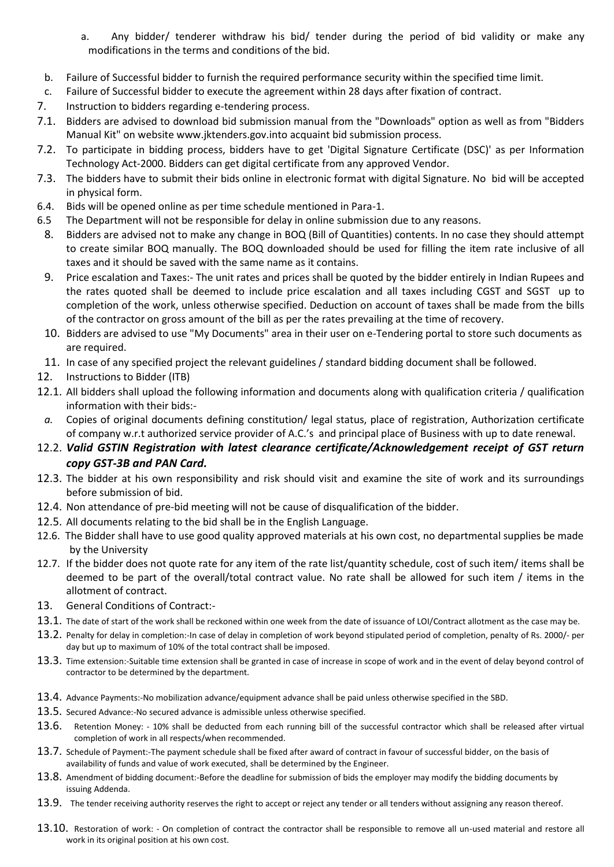- a. Any bidder/ tenderer withdraw his bid/ tender during the period of bid validity or make any modifications in the terms and conditions of the bid.
- b. Failure of Successful bidder to furnish the required performance security within the specified time limit.
- c. Failure of Successful bidder to execute the agreement within 28 days after fixation of contract.
- 7. Instruction to bidders regarding e-tendering process.
- 7.1. Bidders are advised to download bid submission manual from the "Downloads" option as well as from "Bidders Manual Kit" on website [www.jktenders.gov.into](http://www.pmgsytendersjk.gov.into/) acquaint bid submission process.
- 7.2. To participate in bidding process, bidders have to get 'Digital Signature Certificate (DSC)' as per Information Technology Act-2000. Bidders can get digital certificate from any approved Vendor.
- 7.3. The bidders have to submit their bids online in electronic format with digital Signature. No bid will be accepted in physical form.
- 6.4. Bids will be opened online as per time schedule mentioned in Para-1.
- 6.5 The Department will not be responsible for delay in online submission due to any reasons.
	- 8. Bidders are advised not to make any change in BOQ (Bill of Quantities) contents. In no case they should attempt to create similar BOQ manually. The BOQ downloaded should be used for filling the item rate inclusive of all taxes and it should be saved with the same name as it contains.
	- 9. Price escalation and Taxes:- The unit rates and prices shall be quoted by the bidder entirely in Indian Rupees and the rates quoted shall be deemed to include price escalation and all taxes including CGST and SGST up to completion of the work, unless otherwise specified. Deduction on account of taxes shall be made from the bills of the contractor on gross amount of the bill as per the rates prevailing at the time of recovery.
	- 10. Bidders are advised to use "My Documents" area in their user on e-Tendering portal to store such documents as are required.
- 11. In case of any specified project the relevant guidelines / standard bidding document shall be followed.
- 12. Instructions to Bidder (ITB)
- 12.1. All bidders shall upload the following information and documents along with qualification criteria / qualification information with their bids:-
- *a.* Copies of original documents defining constitution/ legal status, place of registration, Authorization certificate of company w.r.t authorized service provider of A.C.'s and principal place of Business with up to date renewal.
- 12.2. *Valid GSTIN Registration with latest clearance certificate/Acknowledgement receipt of GST return copy GST-3B and PAN Card.*
- 12.3. The bidder at his own responsibility and risk should visit and examine the site of work and its surroundings before submission of bid.
- 12.4. Non attendance of pre-bid meeting will not be cause of disqualification of the bidder.
- 12.5. All documents relating to the bid shall be in the English Language.
- 12.6. The Bidder shall have to use good quality approved materials at his own cost, no departmental supplies be made by the University
- 12.7. If the bidder does not quote rate for any item of the rate list/quantity schedule, cost of such item/ items shall be deemed to be part of the overall/total contract value. No rate shall be allowed for such item / items in the allotment of contract.
- 13. General Conditions of Contract:-
- 13.1. The date of start of the work shall be reckoned within one week from the date of issuance of LOI/Contract allotment as the case may be.
- 13.2. Penalty for delay in completion:-In case of delay in completion of work beyond stipulated period of completion, penalty of Rs. 2000/- per day but up to maximum of 10% of the total contract shall be imposed.
- 13.3. Time extension:-Suitable time extension shall be granted in case of increase in scope of work and in the event of delay beyond control of contractor to be determined by the department.
- 13.4. Advance Payments:-No mobilization advance/equipment advance shall be paid unless otherwise specified in the SBD.
- 13.5. Secured Advance:-No secured advance is admissible unless otherwise specified.
- 13.6. Retention Money: 10% shall be deducted from each running bill of the successful contractor which shall be released after virtual completion of work in all respects/when recommended.
- 13.7. Schedule of Payment:-The payment schedule shall be fixed after award of contract in favour of successful bidder, on the basis of availability of funds and value of work executed, shall be determined by the Engineer.
- 13.8. Amendment of bidding document:-Before the deadline for submission of bids the employer may modify the bidding documents by issuing Addenda.
- 13.9. The tender receiving authority reserves the right to accept or reject any tender or all tenders without assigning any reason thereof.
- 13.10. Restoration of work: On completion of contract the contractor shall be responsible to remove all un-used material and restore all work in its original position at his own cost.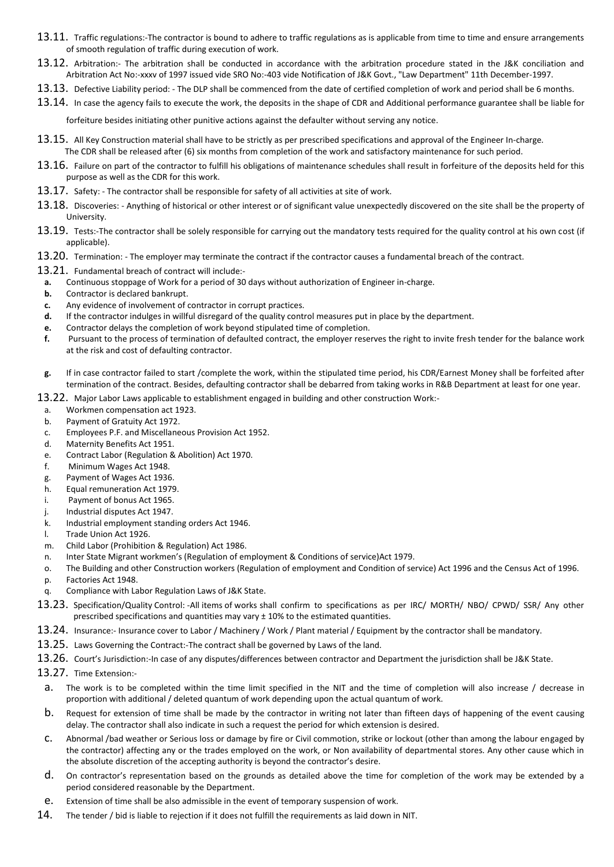- 13.11. Traffic regulations:-The contractor is bound to adhere to traffic regulations as is applicable from time to time and ensure arrangements of smooth regulation of traffic during execution of work.
- 13.12. Arbitration:- The arbitration shall be conducted in accordance with the arbitration procedure stated in the J&K conciliation and Arbitration Act No:-xxxv of 1997 issued vide SRO No:-403 vide Notification of J&K Govt., "Law Department" 11th December-1997.
- 13.13. Defective Liability period: The DLP shall be commenced from the date of certified completion of work and period shall be 6 months.
- 13.14. In case the agency fails to execute the work, the deposits in the shape of CDR and Additional performance guarantee shall be liable for

forfeiture besides initiating other punitive actions against the defaulter without serving any notice.

- 13.15. All Key Construction material shall have to be strictly as per prescribed specifications and approval of the Engineer In-charge. The CDR shall be released after (6) six months from completion of the work and satisfactory maintenance for such period.
- 13.16. Failure on part of the contractor to fulfill his obligations of maintenance schedules shall result in forfeiture of the deposits held for this purpose as well as the CDR for this work.
- 13.17. Safety: The contractor shall be responsible for safety of all activities at site of work.
- 13.18. Discoveries: Anything of historical or other interest or of significant value unexpectedly discovered on the site shall be the property of University.
- 13.19. Tests:-The contractor shall be solely responsible for carrying out the mandatory tests required for the quality control at his own cost (if applicable).
- 13.20. Termination: The employer may terminate the contract if the contractor causes a fundamental breach of the contract.
- 13.21. Fundamental breach of contract will include:-
- **a.** Continuous stoppage of Work for a period of 30 days without authorization of Engineer in-charge.
- **b.** Contractor is declared bankrupt.
- **c.** Any evidence of involvement of contractor in corrupt practices.
- **d.** If the contractor indulges in willful disregard of the quality control measures put in place by the department.
- **e.** Contractor delays the completion of work beyond stipulated time of completion.
- **f.** Pursuant to the process of termination of defaulted contract, the employer reserves the right to invite fresh tender for the balance work at the risk and cost of defaulting contractor.
- **g.** If in case contractor failed to start /complete the work, within the stipulated time period, his CDR/Earnest Money shall be forfeited after termination of the contract. Besides, defaulting contractor shall be debarred from taking works in R&B Department at least for one year.
- 13.22. Major Labor Laws applicable to establishment engaged in building and other construction Work:
	- a. Workmen compensation act 1923.
	- b. Payment of Gratuity Act 1972.
	- c. Employees P.F. and Miscellaneous Provision Act 1952.
	- d. Maternity Benefits Act 1951.
	- e. Contract Labor (Regulation & Abolition) Act 1970.
	- f. Minimum Wages Act 1948.
	- g. Payment of Wages Act 1936.
	- h. Equal remuneration Act 1979.
	- i. Payment of bonus Act 1965.
- j. Industrial disputes Act 1947.
- k. Industrial employment standing orders Act 1946.
- l. Trade Union Act 1926.
- m. Child Labor (Prohibition & Regulation) Act 1986.
- n. Inter State Migrant workmen's (Regulation of employment & Conditions of service)Act 1979.
- o. The Building and other Construction workers (Regulation of employment and Condition of service) Act 1996 and the Census Act of 1996.
- p. Factories Act 1948.
- q. Compliance with Labor Regulation Laws of J&K State.
- 13.23. Specification/Quality Control: -All items of works shall confirm to specifications as per IRC/ MORTH/ NBO/ CPWD/ SSR/ Any other prescribed specifications and quantities may vary ± 10% to the estimated quantities.
- 13.24. Insurance:- Insurance cover to Labor / Machinery / Work / Plant material / Equipment by the contractor shall be mandatory.
- 13.25. Laws Governing the Contract:-The contract shall be governed by Laws of the land.
- 13.26. Court's Jurisdiction:-In case of any disputes/differences between contractor and Department the jurisdiction shall be J&K State.
- 13.27. Time Extension:
	- a. The work is to be completed within the time limit specified in the NIT and the time of completion will also increase / decrease in proportion with additional / deleted quantum of work depending upon the actual quantum of work.
	- b. Request for extension of time shall be made by the contractor in writing not later than fifteen days of happening of the event causing delay. The contractor shall also indicate in such a request the period for which extension is desired.
	- c. Abnormal /bad weather or Serious loss or damage by fire or Civil commotion, strike or lockout (other than among the labour engaged by the contractor) affecting any or the trades employed on the work, or Non availability of departmental stores. Any other cause which in the absolute discretion of the accepting authority is beyond the contractor's desire.
	- d. On contractor's representation based on the grounds as detailed above the time for completion of the work may be extended by a period considered reasonable by the Department.
- e. Extension of time shall be also admissible in the event of temporary suspension of work.
- 14. The tender / bid is liable to rejection if it does not fulfill the requirements as laid down in NIT.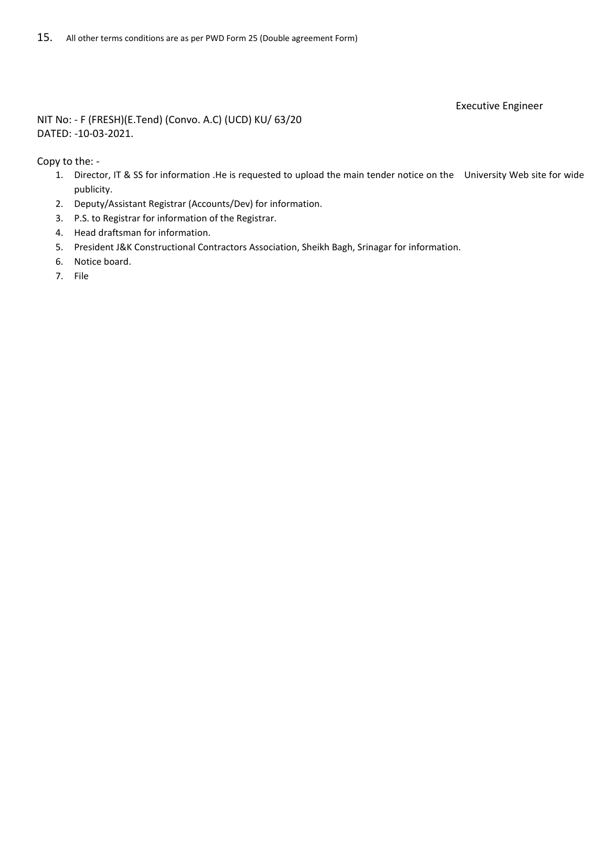#### Executive Engineer

NIT No: - F (FRESH)(E.Tend) (Convo. A.C) (UCD) KU/ 63/20 DATED: -10-03-2021.

Copy to the: -

- 1. Director, IT & SS for information .He is requested to upload the main tender notice on the University Web site for wide publicity.
- 2. Deputy/Assistant Registrar (Accounts/Dev) for information.
- 3. P.S. to Registrar for information of the Registrar.
- 4. Head draftsman for information.
- 5. President J&K Constructional Contractors Association, Sheikh Bagh, Srinagar for information.
- 6. Notice board.
- 7. File